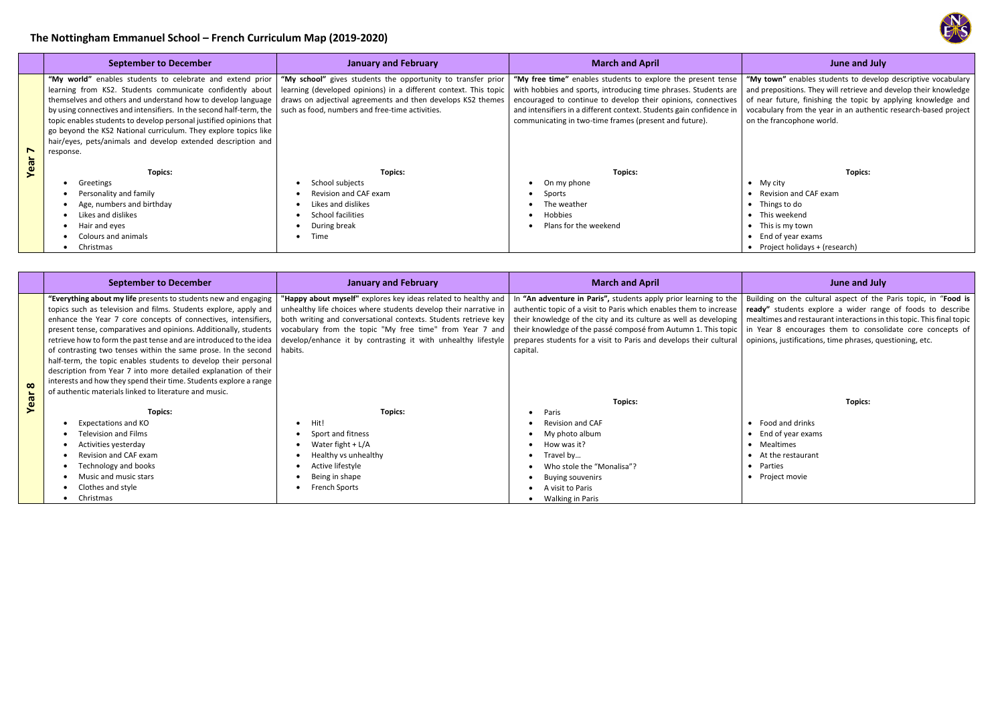# **The Nottingham Emmanuel School – French Curriculum Map (2019-2020)**

**"My town"** enables students to develop descriptive vocabulary d prepositions. They will retrieve and develop their knowledge near future, finishing the topic by applying knowledge and cabulary from the year in an authentic research-based project the francophone world.

|                | <b>September to December</b>                                        | <b>March and April</b><br><b>January and February</b>            |                                                                      | June and July                            |
|----------------|---------------------------------------------------------------------|------------------------------------------------------------------|----------------------------------------------------------------------|------------------------------------------|
|                |                                                                     |                                                                  |                                                                      |                                          |
|                | "My world" enables students to celebrate and extend prior           | "My school" gives students the opportunity to transfer prior     | "My free time" enables students to explore the present tense         | "My town" enables students to develo     |
|                | learning from KS2. Students communicate confidently about           | learning (developed opinions) in a different context. This topic | with hobbies and sports, introducing time phrases. Students are      | and prepositions. They will retrieve and |
|                | themselves and others and understand how to develop language        | draws on adjectival agreements and then develops KS2 themes      | encouraged to continue to develop their opinions, connectives        | of near future, finishing the topic by a |
|                | by using connectives and intensifiers. In the second half-term, the | such as food, numbers and free-time activities.                  | and intensifiers in a different context. Students gain confidence in | vocabulary from the year in an authenti  |
|                | topic enables students to develop personal justified opinions that  |                                                                  | communicating in two-time frames (present and future).               | on the francophone world.                |
|                | go beyond the KS2 National curriculum. They explore topics like     |                                                                  |                                                                      |                                          |
|                | hair/eyes, pets/animals and develop extended description and        |                                                                  |                                                                      |                                          |
| $\blacksquare$ | response.                                                           |                                                                  |                                                                      |                                          |
| Year           |                                                                     |                                                                  |                                                                      |                                          |
|                | Topics:                                                             | Topics:                                                          | <b>Topics:</b>                                                       | <b>Topics:</b>                           |
|                | Greetings                                                           | School subjects                                                  | On my phone                                                          | $\bullet$ My city                        |
|                | Personality and family                                              | Revision and CAF exam                                            | Sports                                                               | Revision and CAF exam                    |
|                | Age, numbers and birthday                                           | Likes and dislikes                                               | The weather                                                          | Things to do                             |
|                | Likes and dislikes                                                  | School facilities                                                | Hobbies                                                              | This weekend                             |
|                | Hair and eyes                                                       | During break                                                     | Plans for the weekend                                                | This is my town                          |
|                | Colours and animals                                                 | Time                                                             |                                                                      | End of year exams                        |
|                | Christmas                                                           |                                                                  |                                                                      | • Project holidays + (research)          |

- My city
- Revision and CAF exam
- Things to do
- This weekend
- This is my town
- End of year exams
- $\bullet$  Project holidays + (research)

Iding on the cultural aspect of the Paris topic, in "Food is dy" students explore a wider range of foods to describe altimes and restaurant interactions in this topic. This final topic Year 8 encourages them to consolidate core concepts of nions, justifications, time phrases, questioning, etc.

### **Topics:**

|          | <b>September to December</b>                                                                                                                                                                                                                                                                                                                                                                                                                                                                                                                                                                                                                                                           | <b>January and February</b>                                                                                                                                                                                                                                                                                                                   | <b>March and April</b>                                                                                                                                                                                                                                                                                                                                          | June and July                                                                                                                                                                                                   |
|----------|----------------------------------------------------------------------------------------------------------------------------------------------------------------------------------------------------------------------------------------------------------------------------------------------------------------------------------------------------------------------------------------------------------------------------------------------------------------------------------------------------------------------------------------------------------------------------------------------------------------------------------------------------------------------------------------|-----------------------------------------------------------------------------------------------------------------------------------------------------------------------------------------------------------------------------------------------------------------------------------------------------------------------------------------------|-----------------------------------------------------------------------------------------------------------------------------------------------------------------------------------------------------------------------------------------------------------------------------------------------------------------------------------------------------------------|-----------------------------------------------------------------------------------------------------------------------------------------------------------------------------------------------------------------|
| $\infty$ | "Everything about my life presents to students new and engaging<br>topics such as television and films. Students explore, apply and<br>enhance the Year 7 core concepts of connectives, intensifiers,<br>present tense, comparatives and opinions. Additionally, students<br>retrieve how to form the past tense and are introduced to the idea<br>of contrasting two tenses within the same prose. In the second<br>half-term, the topic enables students to develop their personal<br>description from Year 7 into more detailed explanation of their<br>interests and how they spend their time. Students explore a range<br>of authentic materials linked to literature and music. | "Happy about myself" explores key ideas related to healthy and<br>unhealthy life choices where students develop their narrative in<br>both writing and conversational contexts. Students retrieve key<br>vocabulary from the topic "My free time" from Year 7 and<br>develop/enhance it by contrasting it with unhealthy lifestyle<br>habits. | In "An adventure in Paris", students apply prior learning to the<br>authentic topic of a visit to Paris which enables them to increase<br>their knowledge of the city and its culture as well as developing<br>their knowledge of the passé composé from Autumn 1. This topic<br>prepares students for a visit to Paris and develops their cultural<br>capital. | Building on the cultural aspect of the<br>ready" students explore a wider rang<br>mealtimes and restaurant interactions in<br>in Year 8 encourages them to consol<br>opinions, justifications, time phrases, qu |
| Year     |                                                                                                                                                                                                                                                                                                                                                                                                                                                                                                                                                                                                                                                                                        |                                                                                                                                                                                                                                                                                                                                               | <b>Topics:</b>                                                                                                                                                                                                                                                                                                                                                  | <b>Topics:</b>                                                                                                                                                                                                  |
|          | Topics:                                                                                                                                                                                                                                                                                                                                                                                                                                                                                                                                                                                                                                                                                | Topics:                                                                                                                                                                                                                                                                                                                                       | Paris                                                                                                                                                                                                                                                                                                                                                           |                                                                                                                                                                                                                 |
|          | Expectations and KO                                                                                                                                                                                                                                                                                                                                                                                                                                                                                                                                                                                                                                                                    | Hit!                                                                                                                                                                                                                                                                                                                                          | <b>Revision and CAF</b>                                                                                                                                                                                                                                                                                                                                         | • Food and drinks                                                                                                                                                                                               |
|          | Television and Films                                                                                                                                                                                                                                                                                                                                                                                                                                                                                                                                                                                                                                                                   | Sport and fitness                                                                                                                                                                                                                                                                                                                             | My photo album                                                                                                                                                                                                                                                                                                                                                  | $\bullet$ End of year exams                                                                                                                                                                                     |
|          | Activities yesterday                                                                                                                                                                                                                                                                                                                                                                                                                                                                                                                                                                                                                                                                   | Water fight $+ L/A$                                                                                                                                                                                                                                                                                                                           | How was it?                                                                                                                                                                                                                                                                                                                                                     | • Mealtimes                                                                                                                                                                                                     |
|          | Revision and CAF exam                                                                                                                                                                                                                                                                                                                                                                                                                                                                                                                                                                                                                                                                  | Healthy vs unhealthy                                                                                                                                                                                                                                                                                                                          | Travel by                                                                                                                                                                                                                                                                                                                                                       | • At the restaurant                                                                                                                                                                                             |
|          | Technology and books                                                                                                                                                                                                                                                                                                                                                                                                                                                                                                                                                                                                                                                                   | Active lifestyle                                                                                                                                                                                                                                                                                                                              | Who stole the "Monalisa"?                                                                                                                                                                                                                                                                                                                                       | • Parties                                                                                                                                                                                                       |
|          | Music and music stars                                                                                                                                                                                                                                                                                                                                                                                                                                                                                                                                                                                                                                                                  | Being in shape                                                                                                                                                                                                                                                                                                                                | Buying souvenirs                                                                                                                                                                                                                                                                                                                                                | • Project movie                                                                                                                                                                                                 |
|          | Clothes and style                                                                                                                                                                                                                                                                                                                                                                                                                                                                                                                                                                                                                                                                      | French Sports                                                                                                                                                                                                                                                                                                                                 | A visit to Paris                                                                                                                                                                                                                                                                                                                                                |                                                                                                                                                                                                                 |
|          | Christmas                                                                                                                                                                                                                                                                                                                                                                                                                                                                                                                                                                                                                                                                              |                                                                                                                                                                                                                                                                                                                                               | <b>Walking in Paris</b>                                                                                                                                                                                                                                                                                                                                         |                                                                                                                                                                                                                 |



## **Topics:**

- Food and drinks
- End of year exams
- Mealtimes
- At the restaurant
- Parties
- Project movie